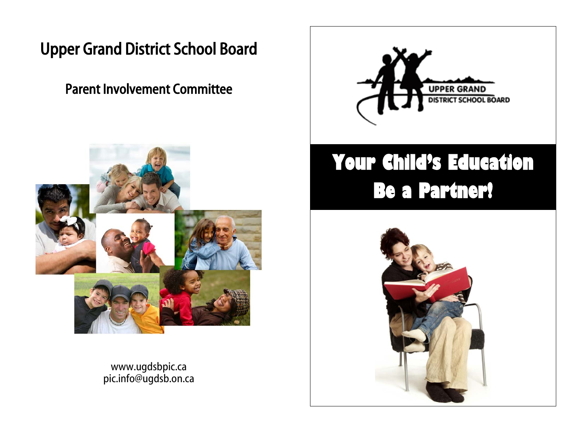## Upper Grand District School Board

## Parent Involvement Committee



www.ugdsbpic.ca pic.info@ugdsb.on.ca



# **Your Child's Education Be a Partner!**

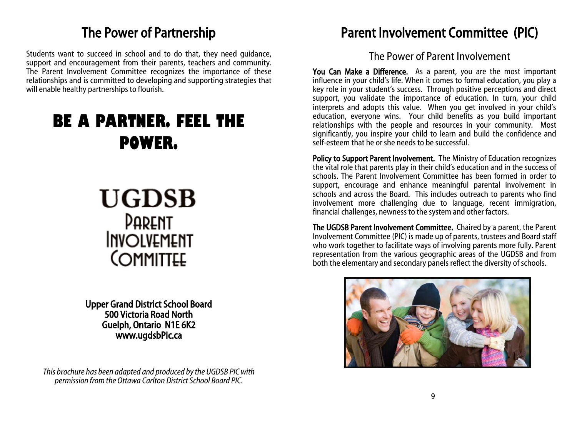### The Power of Partnership

Students want to succeed in school and to do that, they need guidance, support and encouragement from their parents, teachers and community. The Parent Involvement Committee recognizes the importance of these relationships and is committed to developing and supporting strategies that will enable healthy partnerships to flourish.

## **BE A PARTNER. FEEL THE POWER.**



Upper Grand District School Board 500 Victoria Road North Guelph, Ontario N1E 6K2 www.ugdsbPic.ca

*This brochure has been adapted and produced by the UGDSB PIC with permission from the Ottawa Carlton District School Board PIC.*

### Parent Involvement Committee (PIC)

#### The Power of Parent Involvement

You Can Make a Difference. As a parent, you are the most important influence in your child's life. When it comes to formal education, you play a key role in your student's success. Through positive perceptions and direct support, you validate the importance of education. In turn, your child interprets and adopts this value. When you get involved in your child's education, everyone wins. Your child benefits as you build important relationships with the people and resources in your community. Most significantly, you inspire your child to learn and build the confidence and self-esteem that he or she needs to be successful.

Policy to Support Parent Involvement. The Ministry of Education recognizes the vital role that parents play in their child's education and in the success of schools. The Parent Involvement Committee has been formed in order to support, encourage and enhance meaningful parental involvement in schools and across the Board. This includes outreach to parents who find involvement more challenging due to language, recent immigration, financial challenges, newness to the system and other factors.

The UGDSB Parent Involvement Committee. Chaired by a parent, the Parent Involvement Committee (PIC) is made up of parents, trustees and Board staff who work together to facilitate ways of involving parents more fully. Parent representation from the various geographic areas of the UGDSB and from both the elementary and secondary panels reflect the diversity of schools.

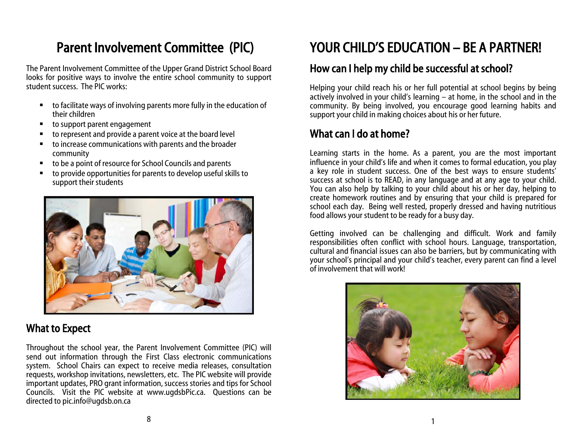## Parent Involvement Committee (PIC)

The Parent Involvement Committee of the Upper Grand District School Board looks for positive ways to involve the entire school community to support student success. The PIC works:

- to facilitate ways of involving parents more fully in the education of their children
- to support parent engagement
- to represent and provide a parent voice at the board level
- to increase communications with parents and the broader community
- to be a point of resource for School Councils and parents
- to provide opportunities for parents to develop useful skills to support their students



#### What to Expect

Throughout the school year, the Parent Involvement Committee (PIC) will send out information through the First Class electronic communications system. School Chairs can expect to receive media releases, consultation requests, workshop invitations, newsletters, etc. The PIC website will provide important updates, PRO grant information, success stories and tips for School Councils. Visit the PIC website at www.ugdsbPic.ca. Questions can be directed to pic.info@ugdsb.on.ca

## YOUR CHILD'S EDUCATION – BE A PARTNER!

#### How can I help my child be successful at school?

Helping your child reach his or her full potential at school begins by being actively involved in your child's learning – at home, in the school and in the community. By being involved, you encourage good learning habits and support your child in making choices about his or her future.

#### What can I do at home?

Learning starts in the home. As a parent, you are the most important influence in your child's life and when it comes to formal education, you play a key role in student success. One of the best ways to ensure students' success at school is to READ, in any language and at any age to your child. You can also help by talking to your child about his or her day, helping to create homework routines and by ensuring that your child is prepared for school each day. Being well rested, properly dressed and having nutritious food allows your student to be ready for a busy day.

Getting involved can be challenging and difficult. Work and family responsibilities often conflict with school hours. Language, transportation, cultural and financial issues can also be barriers, but by communicating with your school's principal and your child's teacher, every parent can find a level of involvement that will work!

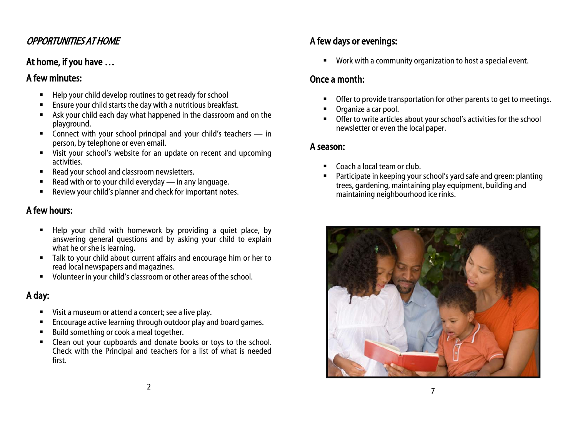#### OPPORTUNITIES AT HOME

#### At home, if you have …

#### A few minutes:

- Help your child develop routines to get ready for school
- Ensure your child starts the day with a nutritious breakfast.
- Ask your child each day what happened in the classroom and on the playground.
- Connect with your school principal and your child's teachers  $-$  in person, by telephone or even email.
- Visit your school's website for an update on recent and upcoming activities.
- Read your school and classroom newsletters.
- Read with or to your child everyday in any language.
- Review your child's planner and check for important notes.

#### A few hours:

- Help your child with homework by providing a quiet place, by answering general questions and by asking your child to explain what he or she is learning.
- Talk to your child about current affairs and encourage him or her to read local newspapers and magazines.
- Volunteer in your child's classroom or other areas of the school.

#### A day:

- **UI** Visit a museum or attend a concert; see a live play.
- Encourage active learning through outdoor play and board games.
- Build something or cook a meal together.
- Clean out your cupboards and donate books or toys to the school. Check with the Principal and teachers for a list of what is needed first.

#### A few days or evenings:

Work with a community organization to host a special event.

#### Once a month:

- Offer to provide transportation for other parents to get to meetings.
- Organize a car pool.
- Offer to write articles about your school's activities for the school newsletter or even the local paper.

#### A season:

- Coach a local team or club.
- Participate in keeping your school's yard safe and green: planting trees, gardening, maintaining play equipment, building and maintaining neighbourhood ice rinks.

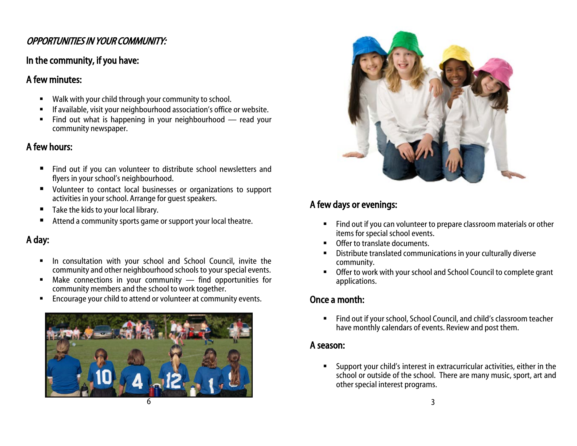#### OPPORTUNITIES IN YOUR COMMUNITY:

#### In the community, if you have:

#### A few minutes:

- Walk with your child through your community to school.
- If available, visit your neighbourhood association's office or website.
- Find out what is happening in your neighbourhood read your community newspaper.

#### A few hours:

- Find out if you can volunteer to distribute school newsletters and flyers in your school's neighbourhood.
- Volunteer to contact local businesses or organizations to support activities in your school. Arrange for guest speakers.
- $\blacksquare$  Take the kids to your local library.
- Attend a community sports game or support your local theatre.

#### A day:

- **In consultation with your school and School Council, invite the** community and other neighbourhood schools to your special events.
- Make connections in your community find opportunities for community members and the school to work together.
- Encourage your child to attend or volunteer at community events.





#### A few days or evenings:

- Find out if you can volunteer to prepare classroom materials or other items for special school events.
- **•** Offer to translate documents.
- Distribute translated communications in your culturally diverse community.
- Offer to work with your school and School Council to complete grant applications.

#### Once a month:

Find out if your school, School Council, and child's classroom teacher have monthly calendars of events. Review and post them.

#### A season:

 Support your child's interest in extracurricular activities, either in the school or outside of the school. There are many music, sport, art and other special interest programs.